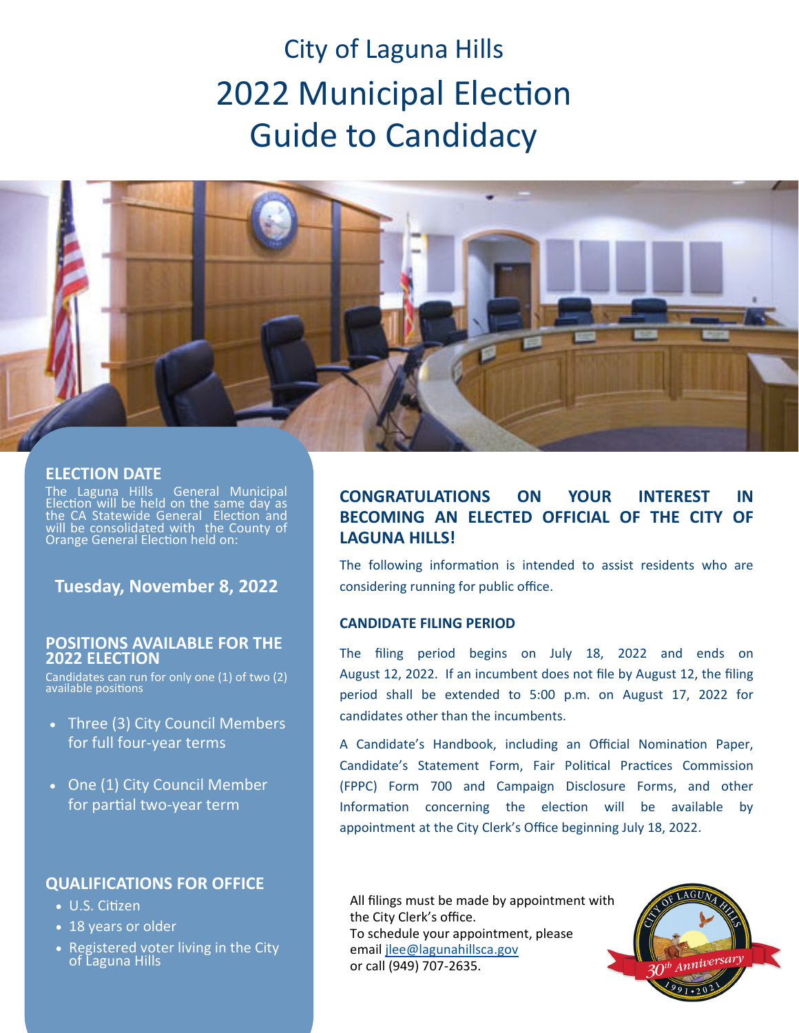# City of Laguna Hills 2022 Municipal Election Guide to Candidacy



## **ELECTION DATE**

The Laguna Hills General Municipal Election will be held on the same day as<br>the CA Statewide General Election and will be consolidated with the County of Orange General Election held on:

## **Tuesday, November 8, 2022**

### **POSITIONS AVAILABLE FOR THE 2022 ELECTION**

Candidates can run for only one (1) of two (2) available positions

- Three (3) City Council Members for full four‐year terms
- One (1) City Council Member for partial two-year term

## **QUALIFICATIONS FOR OFFICE**

- U.S. Citizen
- $\overline{\bullet}$  18 years or older
- Registered voter living in the City of Laguna Hills

## **CONGRATULATIONS ON YOUR INTEREST IN BECOMING AN ELECTED OFFICIAL OF THE CITY OF LAGUNA HILLS!**

The following information is intended to assist residents who are considering running for public office.

## **CANDIDATE FILING PERIOD**

The filing period begins on July 18, 2022 and ends on August 12, 2022. If an incumbent does not file by August 12, the filing period shall be extended to 5:00 p.m. on August 17, 2022 for candidates other than the incumbents.

A Candidate's Handbook, including an Official Nomination Paper, Candidate's Statement Form, Fair Political Practices Commission (FPPC) Form 700 and Campaign Disclosure Forms, and other Information concerning the election will be available by appointment at the City Clerk's Office beginning July 18, 2022.

All filings must be made by appointment with the City Clerk's office. To schedule your appointment, please email jlee@lagunahillsca.gov or call (949) 707‐2635.